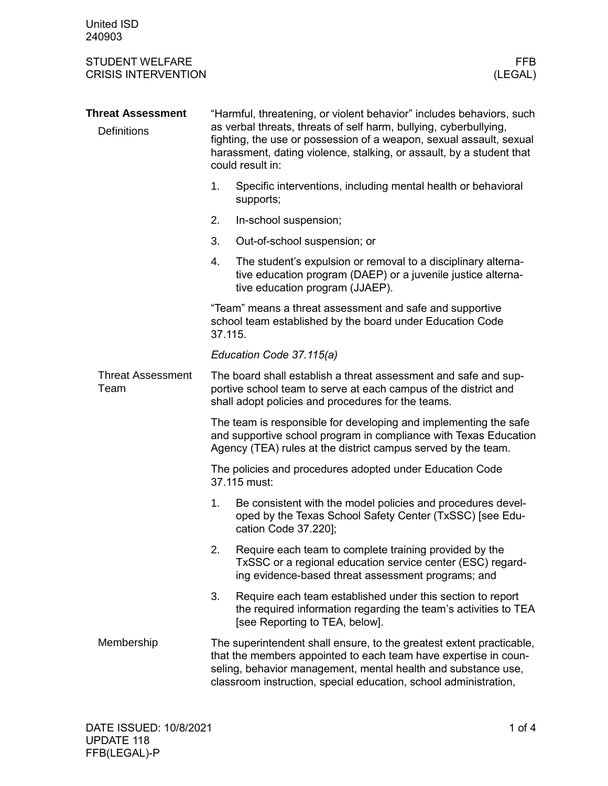| <b>STUDENT WELFARE</b><br><b>CRISIS INTERVENTION</b> |                                                                                                                                                                                                                                                                                                              | <b>FFB</b><br>(LEGAL)                                                                                                                                                                                                                                                        |  |  |  |
|------------------------------------------------------|--------------------------------------------------------------------------------------------------------------------------------------------------------------------------------------------------------------------------------------------------------------------------------------------------------------|------------------------------------------------------------------------------------------------------------------------------------------------------------------------------------------------------------------------------------------------------------------------------|--|--|--|
| <b>Threat Assessment</b><br><b>Definitions</b>       | "Harmful, threatening, or violent behavior" includes behaviors, such<br>as verbal threats, threats of self harm, bullying, cyberbullying,<br>fighting, the use or possession of a weapon, sexual assault, sexual<br>harassment, dating violence, stalking, or assault, by a student that<br>could result in: |                                                                                                                                                                                                                                                                              |  |  |  |
|                                                      | 1.                                                                                                                                                                                                                                                                                                           | Specific interventions, including mental health or behavioral<br>supports;                                                                                                                                                                                                   |  |  |  |
|                                                      | 2.                                                                                                                                                                                                                                                                                                           | In-school suspension;                                                                                                                                                                                                                                                        |  |  |  |
|                                                      | 3.                                                                                                                                                                                                                                                                                                           | Out-of-school suspension; or                                                                                                                                                                                                                                                 |  |  |  |
|                                                      | 4.                                                                                                                                                                                                                                                                                                           | The student's expulsion or removal to a disciplinary alterna-<br>tive education program (DAEP) or a juvenile justice alterna-<br>tive education program (JJAEP).                                                                                                             |  |  |  |
|                                                      | "Team" means a threat assessment and safe and supportive<br>school team established by the board under Education Code<br>37.115.                                                                                                                                                                             |                                                                                                                                                                                                                                                                              |  |  |  |
|                                                      | Education Code 37.115(a)                                                                                                                                                                                                                                                                                     |                                                                                                                                                                                                                                                                              |  |  |  |
| <b>Threat Assessment</b><br>Team                     | The board shall establish a threat assessment and safe and sup-<br>portive school team to serve at each campus of the district and<br>shall adopt policies and procedures for the teams.                                                                                                                     |                                                                                                                                                                                                                                                                              |  |  |  |
|                                                      | The team is responsible for developing and implementing the safe<br>and supportive school program in compliance with Texas Education<br>Agency (TEA) rules at the district campus served by the team.                                                                                                        |                                                                                                                                                                                                                                                                              |  |  |  |
|                                                      | The policies and procedures adopted under Education Code<br>37.115 must:                                                                                                                                                                                                                                     |                                                                                                                                                                                                                                                                              |  |  |  |
|                                                      |                                                                                                                                                                                                                                                                                                              | 1. Be consistent with the model policies and procedures devel-<br>oped by the Texas School Safety Center (TxSSC) [see Edu-<br>cation Code 37.220];                                                                                                                           |  |  |  |
|                                                      | 2.                                                                                                                                                                                                                                                                                                           | Require each team to complete training provided by the<br>TxSSC or a regional education service center (ESC) regard-<br>ing evidence-based threat assessment programs; and                                                                                                   |  |  |  |
|                                                      | 3.                                                                                                                                                                                                                                                                                                           | Require each team established under this section to report<br>the required information regarding the team's activities to TEA<br>[see Reporting to TEA, below].                                                                                                              |  |  |  |
| Membership                                           |                                                                                                                                                                                                                                                                                                              | The superintendent shall ensure, to the greatest extent practicable,<br>that the members appointed to each team have expertise in coun-<br>seling, behavior management, mental health and substance use,<br>classroom instruction, special education, school administration, |  |  |  |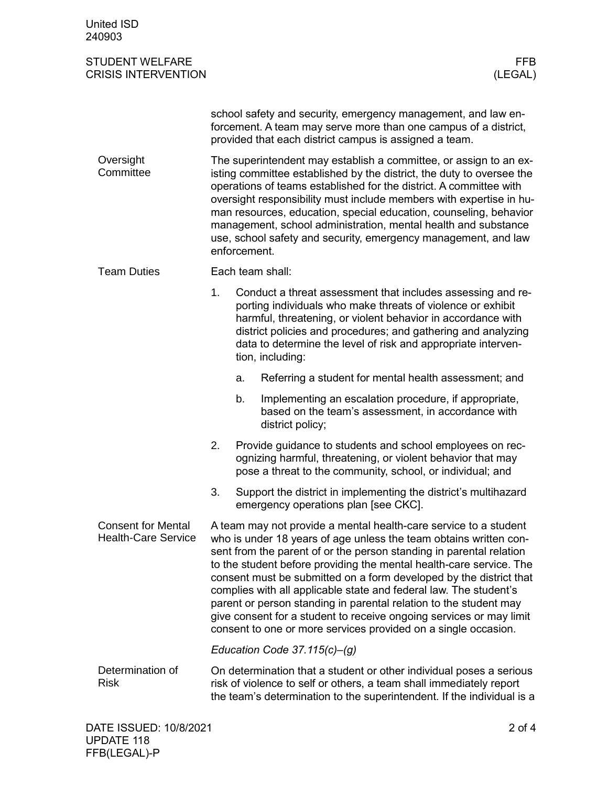| <b>United ISD</b><br>240903                             |                                                                                                                                                                                                                                                                                                                                                                                                                                                                                                                                                                                                                                              |                                                                                                                                                                                                                                                                                                                              |                                                                                                                                                                                            |                       |  |  |
|---------------------------------------------------------|----------------------------------------------------------------------------------------------------------------------------------------------------------------------------------------------------------------------------------------------------------------------------------------------------------------------------------------------------------------------------------------------------------------------------------------------------------------------------------------------------------------------------------------------------------------------------------------------------------------------------------------------|------------------------------------------------------------------------------------------------------------------------------------------------------------------------------------------------------------------------------------------------------------------------------------------------------------------------------|--------------------------------------------------------------------------------------------------------------------------------------------------------------------------------------------|-----------------------|--|--|
| <b>STUDENT WELFARE</b><br><b>CRISIS INTERVENTION</b>    |                                                                                                                                                                                                                                                                                                                                                                                                                                                                                                                                                                                                                                              |                                                                                                                                                                                                                                                                                                                              |                                                                                                                                                                                            | <b>FFB</b><br>(LEGAL) |  |  |
|                                                         |                                                                                                                                                                                                                                                                                                                                                                                                                                                                                                                                                                                                                                              |                                                                                                                                                                                                                                                                                                                              | school safety and security, emergency management, and law en-<br>forcement. A team may serve more than one campus of a district,<br>provided that each district campus is assigned a team. |                       |  |  |
| Oversight<br>Committee                                  | The superintendent may establish a committee, or assign to an ex-<br>isting committee established by the district, the duty to oversee the<br>operations of teams established for the district. A committee with<br>oversight responsibility must include members with expertise in hu-<br>man resources, education, special education, counseling, behavior<br>management, school administration, mental health and substance<br>use, school safety and security, emergency management, and law<br>enforcement.                                                                                                                             |                                                                                                                                                                                                                                                                                                                              |                                                                                                                                                                                            |                       |  |  |
| <b>Team Duties</b>                                      | Each team shall:                                                                                                                                                                                                                                                                                                                                                                                                                                                                                                                                                                                                                             |                                                                                                                                                                                                                                                                                                                              |                                                                                                                                                                                            |                       |  |  |
|                                                         | 1.                                                                                                                                                                                                                                                                                                                                                                                                                                                                                                                                                                                                                                           | Conduct a threat assessment that includes assessing and re-<br>porting individuals who make threats of violence or exhibit<br>harmful, threatening, or violent behavior in accordance with<br>district policies and procedures; and gathering and analyzing<br>data to determine the level of risk and appropriate interven- |                                                                                                                                                                                            |                       |  |  |
|                                                         |                                                                                                                                                                                                                                                                                                                                                                                                                                                                                                                                                                                                                                              | a.                                                                                                                                                                                                                                                                                                                           | Referring a student for mental health assessment; and                                                                                                                                      |                       |  |  |
|                                                         |                                                                                                                                                                                                                                                                                                                                                                                                                                                                                                                                                                                                                                              | b.                                                                                                                                                                                                                                                                                                                           | Implementing an escalation procedure, if appropriate,<br>based on the team's assessment, in accordance with<br>district policy;                                                            |                       |  |  |
|                                                         | 2.<br>Provide guidance to students and school employees on rec-<br>ognizing harmful, threatening, or violent behavior that may<br>pose a threat to the community, school, or individual; and                                                                                                                                                                                                                                                                                                                                                                                                                                                 |                                                                                                                                                                                                                                                                                                                              |                                                                                                                                                                                            |                       |  |  |
|                                                         | 3.                                                                                                                                                                                                                                                                                                                                                                                                                                                                                                                                                                                                                                           | Support the district in implementing the district's multihazard<br>emergency operations plan [see CKC].                                                                                                                                                                                                                      |                                                                                                                                                                                            |                       |  |  |
| <b>Consent for Mental</b><br><b>Health-Care Service</b> | A team may not provide a mental health-care service to a student<br>who is under 18 years of age unless the team obtains written con-<br>sent from the parent of or the person standing in parental relation<br>to the student before providing the mental health-care service. The<br>consent must be submitted on a form developed by the district that<br>complies with all applicable state and federal law. The student's<br>parent or person standing in parental relation to the student may<br>give consent for a student to receive ongoing services or may limit<br>consent to one or more services provided on a single occasion. |                                                                                                                                                                                                                                                                                                                              |                                                                                                                                                                                            |                       |  |  |
|                                                         | Education Code 37.115 $(c)$ – $(g)$                                                                                                                                                                                                                                                                                                                                                                                                                                                                                                                                                                                                          |                                                                                                                                                                                                                                                                                                                              |                                                                                                                                                                                            |                       |  |  |
| Determination of<br><b>Risk</b>                         | On determination that a student or other individual poses a serious<br>risk of violence to self or others, a team shall immediately report<br>the team's determination to the superintendent. If the individual is a                                                                                                                                                                                                                                                                                                                                                                                                                         |                                                                                                                                                                                                                                                                                                                              |                                                                                                                                                                                            |                       |  |  |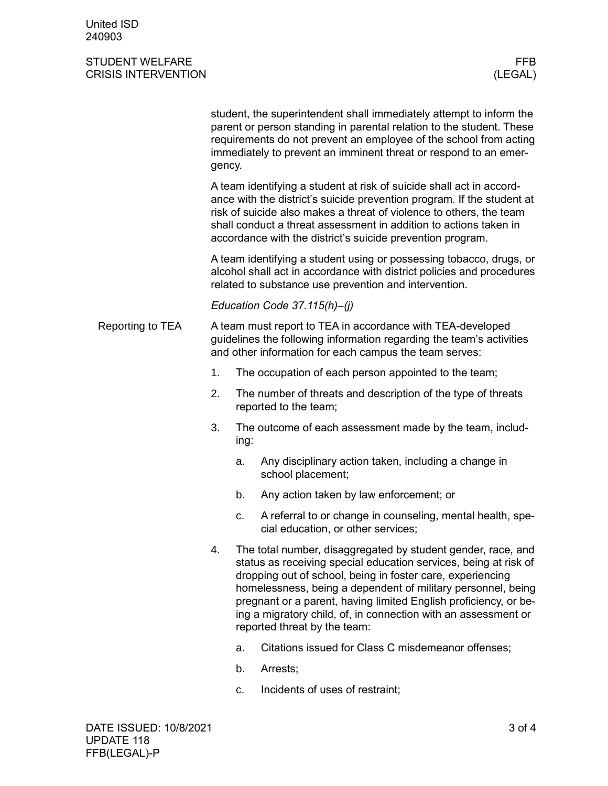## STUDENT WELFARE FRAME AND THE STUDENT WELFARE FRAME AND THE STUDENT WELFARE FRAME AND THE STUDENT OF THE STUDIES CRISIS INTERVENTION (LEGAL)

student, the superintendent shall immediately attempt to inform the parent or person standing in parental relation to the student. These requirements do not prevent an employee of the school from acting immediately to prevent an imminent threat or respond to an emergency.

A team identifying a student at risk of suicide shall act in accordance with the district's suicide prevention program. If the student at risk of suicide also makes a threat of violence to others, the team shall conduct a threat assessment in addition to actions taken in accordance with the district's suicide prevention program.

A team identifying a student using or possessing tobacco, drugs, or alcohol shall act in accordance with district policies and procedures related to substance use prevention and intervention.

*Education Code 37.115(h)–(j)*

- A team must report to TEA in accordance with TEA-developed guidelines the following information regarding the team's activities and other information for each campus the team serves: Reporting to TEA
	- 1. The occupation of each person appointed to the team;
	- 2. The number of threats and description of the type of threats reported to the team;
	- 3. The outcome of each assessment made by the team, including:
		- a. Any disciplinary action taken, including a change in school placement;
		- b. Any action taken by law enforcement; or
		- c. A referral to or change in counseling, mental health, special education, or other services;
	- 4. The total number, disaggregated by student gender, race, and status as receiving special education services, being at risk of dropping out of school, being in foster care, experiencing homelessness, being a dependent of military personnel, being pregnant or a parent, having limited English proficiency, or being a migratory child, of, in connection with an assessment or reported threat by the team:
		- a. Citations issued for Class C misdemeanor offenses;
		- b. Arrests;
		- c. Incidents of uses of restraint;